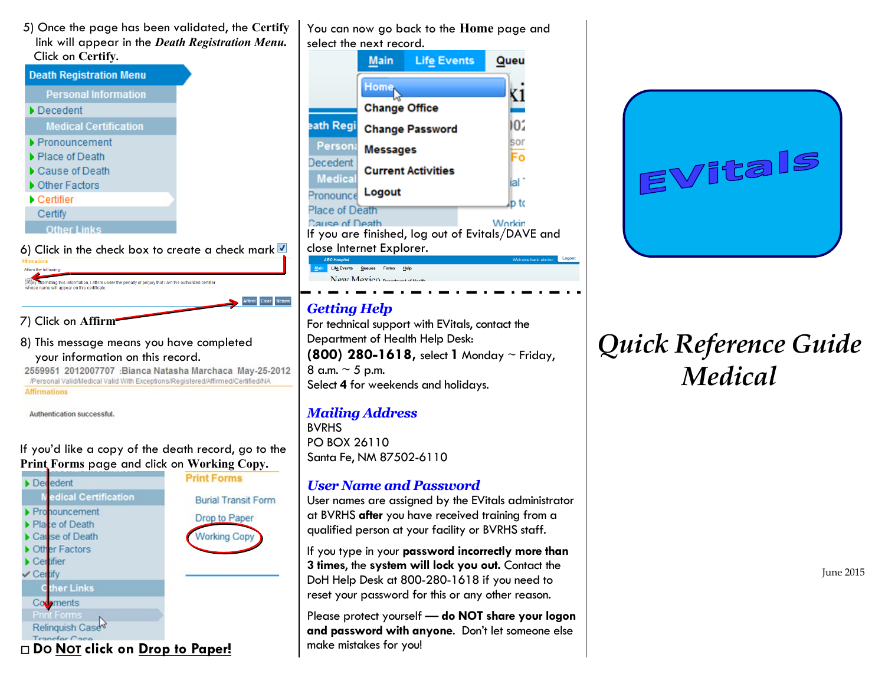5) Once the page has been validated, the **Certify** link will appear in the *Death Registration Menu.* Click on **Certify**.

| CIICK ON CETTITY.                    |  |  |  |  |
|--------------------------------------|--|--|--|--|
| <b>Death Registration Menu</b>       |  |  |  |  |
| <b>Personal Information</b>          |  |  |  |  |
| Decedent                             |  |  |  |  |
| <b>Medical Certification</b>         |  |  |  |  |
| Pronouncement                        |  |  |  |  |
| $\blacktriangleright$ Place of Death |  |  |  |  |
| Cause of Death                       |  |  |  |  |
| ▶ Other Factors                      |  |  |  |  |
| $\blacktriangleright$ Certifier      |  |  |  |  |
| Certify                              |  |  |  |  |
| <b>Other Links</b>                   |  |  |  |  |
|                                      |  |  |  |  |

6) Click in the check box to create a check mark  $\blacksquare$ 

Affirm the following (B) abomitting this information, I affirm under the penalty of perjury that I am the authorized certifier whose name will appear on this certificate.

7) Click on **Affirm**

8) This message means you have completed your information on this record.

2559951 2012007707 :Bianca Natasha Marchaca May-25-2012 /Personal Valid/Medical Valid With Exceptions/Registered/Affirmed/Certified/NA **Affirmations** 

Authentication successful.

#### If you'd like a copy of the death record, go to the **Print Forms** page and click on **Working Copy.**



You can now go back to the **Home** page and select the next record. **Main Life Events** Queu Home<sub>N</sub> K1 **Change Office** ١O٤ eath Regi **Change Password** sor Person **Messages** Fo Decedent **Current Activities Medica** ial Logout Pronounce p to Place of Death **Cause of Death Workin** If you are finished, log out of Evitals/DAVE and close Internet Explorer. Logout Main Life Events Queues Forms Help

# *Getting Help*

New Mexico.

For technical support with EVitals, contact the Department of Health Help Desk: **(800) 280-1618,** select **1** Monday ~ Friday, 8 a.m.  $\sim$  5 p.m. Select **4** for weekends and holidays.

### *Mailing Address*

BVRHS PO BOX 26110 Santa Fe, NM 87502-6110

## *User Name and Password*

User names are assigned by the EVitals administrator at BVRHS **after** you have received training from a qualified person at your facility or BVRHS staff.

If you type in your **password incorrectly more than 3 times**, the **system will lock you out.** Contact the DoH Help Desk at 800-280-1618 if you need to reset your password for this or any other reason.

Please protect yourself — **do NOT share your logon and password with anyone**. Don't let someone else make mistakes for you!



# *Quick Reference Guide Medical*